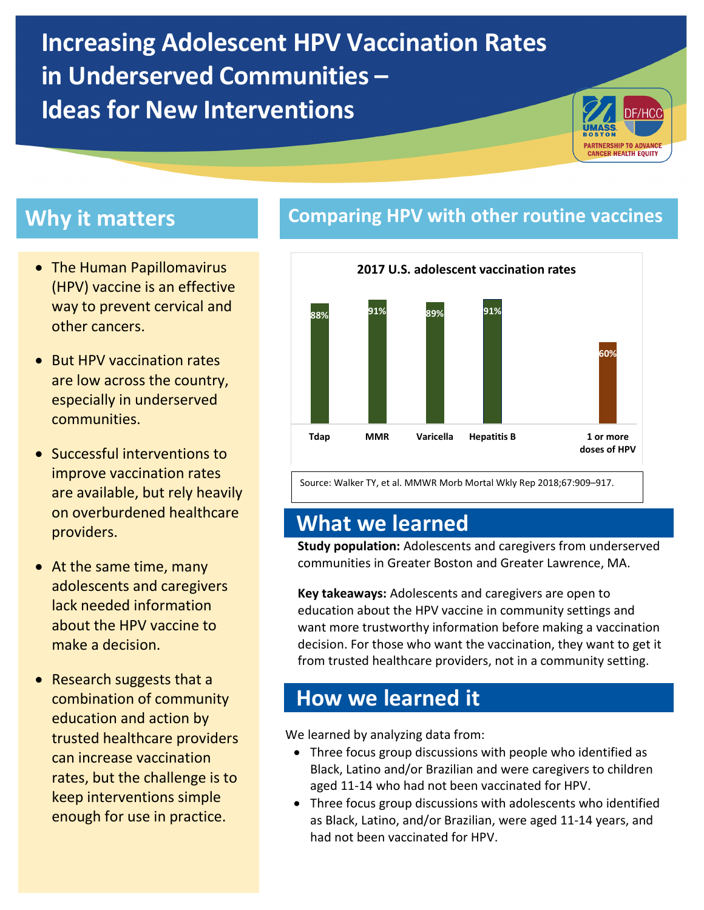**Increasing Adolescent HPV Vaccination Rates in Underserved Communities – Ideas for New Interventions**



- The Human Papillomavirus (HPV) vaccine is an effective way to prevent cervical and other cancers.
- But HPV vaccination rates are low across the country, especially in underserved communities.
- Successful interventions to improve vaccination rates are available, but rely heavily on overburdened healthcare providers.
- At the same time, many adolescents and caregivers lack needed information about the HPV vaccine to make a decision.
- Research suggests that a combination of community education and action by trusted healthcare providers can increase vaccination rates, but the challenge is to keep interventions simple enough for use in practice.

### **Why it matters <b>Comparing HPV** with other routine vaccines



Source: Walker TY, et al. MMWR Morb Mortal Wkly Rep 2018;67:909–917.

### **What we learned**

**Study population:** Adolescents and caregivers from underserved communities in Greater Boston and Greater Lawrence, MA.

**Key takeaways:** Adolescents and caregivers are open to education about the HPV vaccine in community settings and want more trustworthy information before making a vaccination decision. For those who want the vaccination, they want to get it from trusted healthcare providers, not in a community setting.

### **How we learned it**

We learned by analyzing data from:

- Three focus group discussions with people who identified as Black, Latino and/or Brazilian and were caregivers to children aged 11-14 who had not been vaccinated for HPV.
- Three focus group discussions with adolescents who identified as Black, Latino, and/or Brazilian, were aged 11-14 years, and had not been vaccinated for HPV.